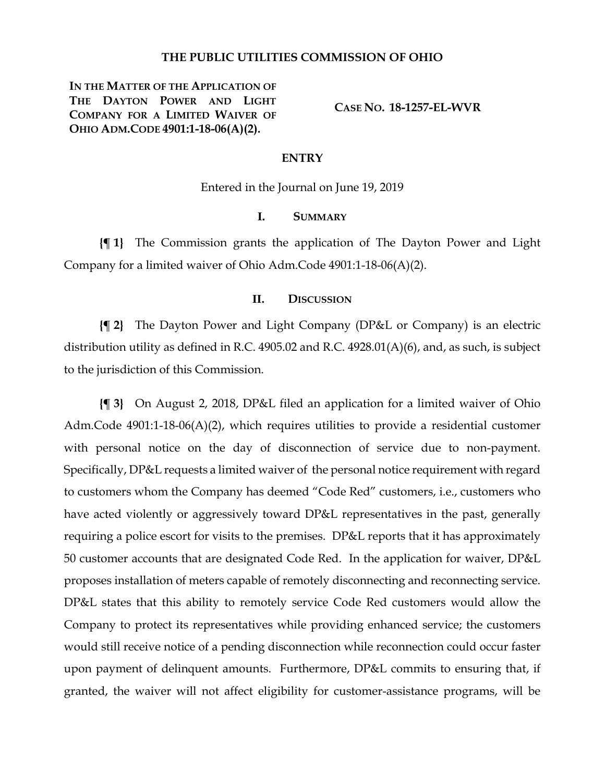# **THE PUBLIC UTILITIES COMMISSION OF OHIO**

**IN THE MATTER OF THE APPLICATION OF THE DAYTON POWER AND LIGHT COMPANY FOR A LIMITED WAIVER OF OHIO ADM.CODE 4901:1-18-06(A)(2).**

**CASE NO. 18-1257-EL-WVR**

### **ENTRY**

Entered in the Journal on June 19, 2019

# **I. SUMMARY**

**{¶ 1}** The Commission grants the application of The Dayton Power and Light Company for a limited waiver of Ohio Adm.Code 4901:1-18-06(A)(2).

# **II. DISCUSSION**

**{¶ 2}** The Dayton Power and Light Company (DP&L or Company) is an electric distribution utility as defined in R.C. 4905.02 and R.C. 4928.01(A)(6), and, as such, is subject to the jurisdiction of this Commission.

**{¶ 3}** On August 2, 2018, DP&L filed an application for a limited waiver of Ohio Adm.Code 4901:1-18-06(A)(2), which requires utilities to provide a residential customer with personal notice on the day of disconnection of service due to non-payment. Specifically, DP&L requests a limited waiver of the personal notice requirement with regard to customers whom the Company has deemed "Code Red" customers, i.e., customers who have acted violently or aggressively toward DP&L representatives in the past, generally requiring a police escort for visits to the premises. DP&L reports that it has approximately 50 customer accounts that are designated Code Red. In the application for waiver, DP&L proposes installation of meters capable of remotely disconnecting and reconnecting service. DP&L states that this ability to remotely service Code Red customers would allow the Company to protect its representatives while providing enhanced service; the customers would still receive notice of a pending disconnection while reconnection could occur faster upon payment of delinquent amounts. Furthermore, DP&L commits to ensuring that, if granted, the waiver will not affect eligibility for customer-assistance programs, will be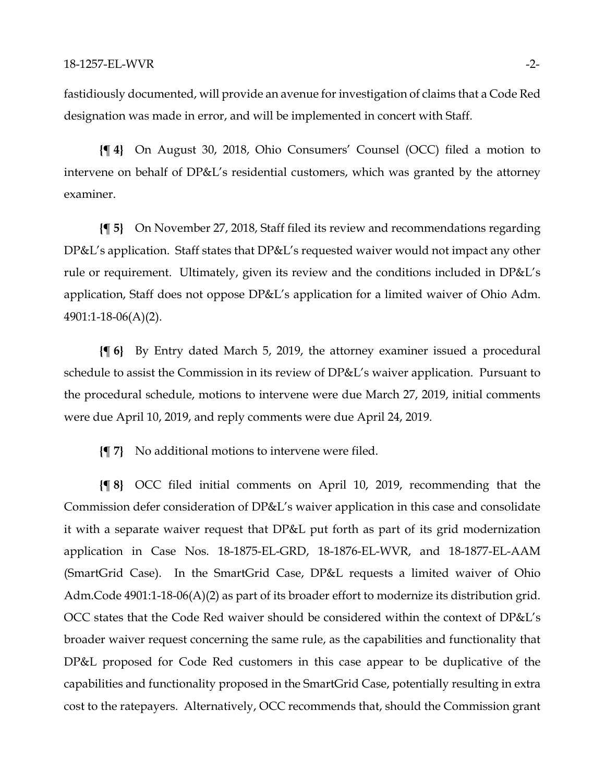fastidiously documented, will provide an avenue for investigation of claims that a Code Red designation was made in error, and will be implemented in concert with Staff.

**{¶ 4}** On August 30, 2018, Ohio Consumers' Counsel (OCC) filed a motion to intervene on behalf of DP&L's residential customers, which was granted by the attorney examiner.

**{¶ 5}** On November 27, 2018, Staff filed its review and recommendations regarding DP&L's application. Staff states that DP&L's requested waiver would not impact any other rule or requirement. Ultimately, given its review and the conditions included in DP&L's application, Staff does not oppose DP&L's application for a limited waiver of Ohio Adm. 4901:1-18-06(A)(2).

**{¶ 6}** By Entry dated March 5, 2019, the attorney examiner issued a procedural schedule to assist the Commission in its review of DP&L's waiver application. Pursuant to the procedural schedule, motions to intervene were due March 27, 2019, initial comments were due April 10, 2019, and reply comments were due April 24, 2019.

**{¶ 7}** No additional motions to intervene were filed.

**{¶ 8}** OCC filed initial comments on April 10, 2019, recommending that the Commission defer consideration of DP&L's waiver application in this case and consolidate it with a separate waiver request that DP&L put forth as part of its grid modernization application in Case Nos. 18-1875-EL-GRD, 18-1876-EL-WVR, and 18-1877-EL-AAM (SmartGrid Case). In the SmartGrid Case, DP&L requests a limited waiver of Ohio Adm.Code 4901:1-18-06(A)(2) as part of its broader effort to modernize its distribution grid. OCC states that the Code Red waiver should be considered within the context of DP&L's broader waiver request concerning the same rule, as the capabilities and functionality that DP&L proposed for Code Red customers in this case appear to be duplicative of the capabilities and functionality proposed in the SmartGrid Case, potentially resulting in extra cost to the ratepayers. Alternatively, OCC recommends that, should the Commission grant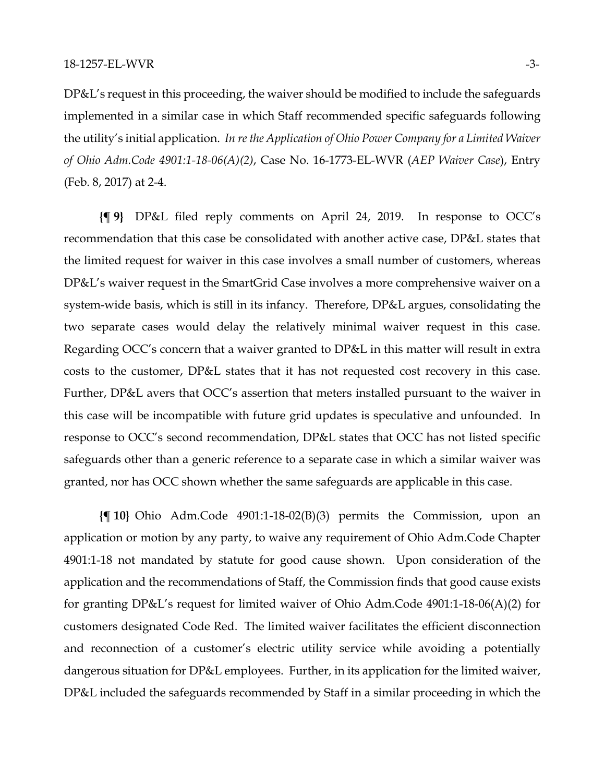DP&L's request in this proceeding, the waiver should be modified to include the safeguards implemented in a similar case in which Staff recommended specific safeguards following the utility's initial application. *In re the Application of Ohio Power Company for a Limited Waiver of Ohio Adm.Code 4901:1-18-06(A)(2)*, Case No. 16-1773-EL-WVR (*AEP Waiver Case*), Entry (Feb. 8, 2017) at 2-4.

**{¶ 9}** DP&L filed reply comments on April 24, 2019. In response to OCC's recommendation that this case be consolidated with another active case, DP&L states that the limited request for waiver in this case involves a small number of customers, whereas DP&L's waiver request in the SmartGrid Case involves a more comprehensive waiver on a system-wide basis, which is still in its infancy. Therefore, DP&L argues, consolidating the two separate cases would delay the relatively minimal waiver request in this case. Regarding OCC's concern that a waiver granted to DP&L in this matter will result in extra costs to the customer, DP&L states that it has not requested cost recovery in this case. Further, DP&L avers that OCC's assertion that meters installed pursuant to the waiver in this case will be incompatible with future grid updates is speculative and unfounded. In response to OCC's second recommendation, DP&L states that OCC has not listed specific safeguards other than a generic reference to a separate case in which a similar waiver was granted, nor has OCC shown whether the same safeguards are applicable in this case.

**{¶ 10}** Ohio Adm.Code 4901:1-18-02(B)(3) permits the Commission, upon an application or motion by any party, to waive any requirement of Ohio Adm.Code Chapter 4901:1-18 not mandated by statute for good cause shown. Upon consideration of the application and the recommendations of Staff, the Commission finds that good cause exists for granting DP&L's request for limited waiver of Ohio Adm.Code 4901:1-18-06(A)(2) for customers designated Code Red. The limited waiver facilitates the efficient disconnection and reconnection of a customer's electric utility service while avoiding a potentially dangerous situation for DP&L employees. Further, in its application for the limited waiver, DP&L included the safeguards recommended by Staff in a similar proceeding in which the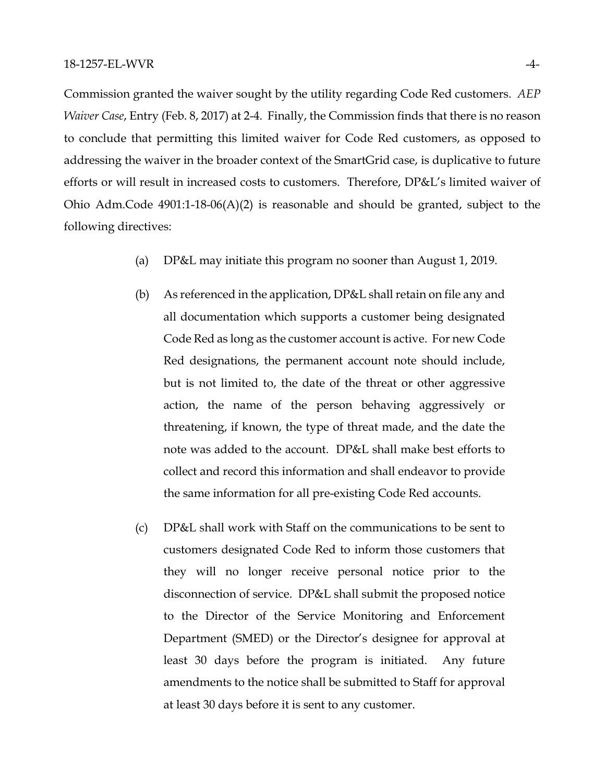Commission granted the waiver sought by the utility regarding Code Red customers. *AEP Waiver Case*, Entry (Feb. 8, 2017) at 2-4. Finally, the Commission finds that there is no reason to conclude that permitting this limited waiver for Code Red customers, as opposed to addressing the waiver in the broader context of the SmartGrid case, is duplicative to future efforts or will result in increased costs to customers. Therefore, DP&L's limited waiver of Ohio Adm.Code 4901:1-18-06(A)(2) is reasonable and should be granted, subject to the following directives:

- (a) DP&L may initiate this program no sooner than August 1, 2019.
- (b) As referenced in the application, DP&L shall retain on file any and all documentation which supports a customer being designated Code Red as long as the customer account is active. For new Code Red designations, the permanent account note should include, but is not limited to, the date of the threat or other aggressive action, the name of the person behaving aggressively or threatening, if known, the type of threat made, and the date the note was added to the account. DP&L shall make best efforts to collect and record this information and shall endeavor to provide the same information for all pre-existing Code Red accounts.
- (c) DP&L shall work with Staff on the communications to be sent to customers designated Code Red to inform those customers that they will no longer receive personal notice prior to the disconnection of service. DP&L shall submit the proposed notice to the Director of the Service Monitoring and Enforcement Department (SMED) or the Director's designee for approval at least 30 days before the program is initiated. Any future amendments to the notice shall be submitted to Staff for approval at least 30 days before it is sent to any customer.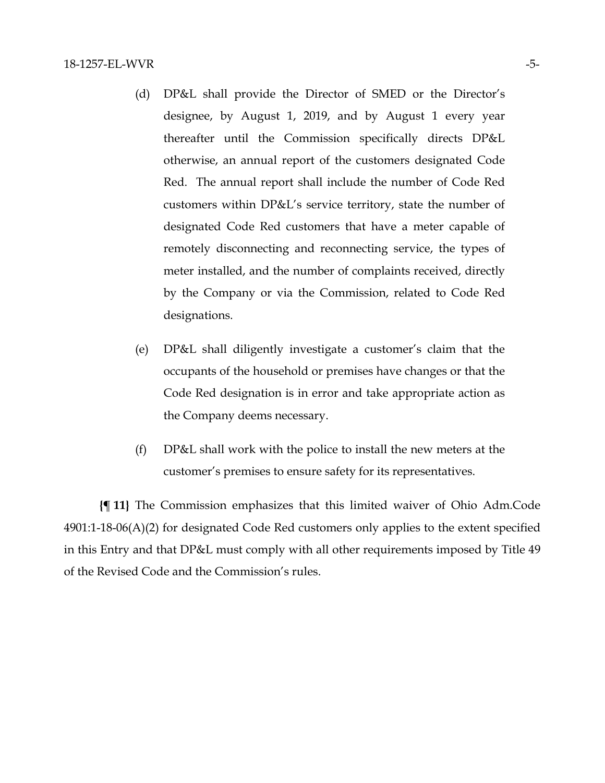- (d) DP&L shall provide the Director of SMED or the Director's designee, by August 1, 2019, and by August 1 every year thereafter until the Commission specifically directs DP&L otherwise, an annual report of the customers designated Code Red. The annual report shall include the number of Code Red customers within DP&L's service territory, state the number of designated Code Red customers that have a meter capable of remotely disconnecting and reconnecting service, the types of meter installed, and the number of complaints received, directly by the Company or via the Commission, related to Code Red designations.
- (e) DP&L shall diligently investigate a customer's claim that the occupants of the household or premises have changes or that the Code Red designation is in error and take appropriate action as the Company deems necessary.
- (f) DP&L shall work with the police to install the new meters at the customer's premises to ensure safety for its representatives.

**{¶ 11}** The Commission emphasizes that this limited waiver of Ohio Adm.Code 4901:1-18-06(A)(2) for designated Code Red customers only applies to the extent specified in this Entry and that DP&L must comply with all other requirements imposed by Title 49 of the Revised Code and the Commission's rules.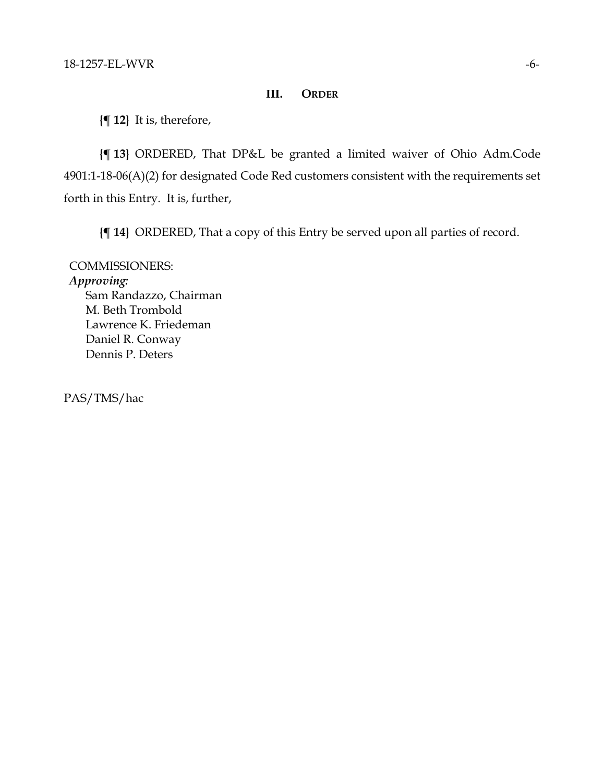# **III. ORDER**

**{¶ 12}** It is, therefore,

**{¶ 13}** ORDERED, That DP&L be granted a limited waiver of Ohio Adm.Code 4901:1-18-06(A)(2) for designated Code Red customers consistent with the requirements set forth in this Entry. It is, further,

**{¶ 14}** ORDERED, That a copy of this Entry be served upon all parties of record.

COMMISSIONERS: *Approving:*  Sam Randazzo, Chairman

M. Beth Trombold Lawrence K. Friedeman Daniel R. Conway Dennis P. Deters

PAS/TMS/hac